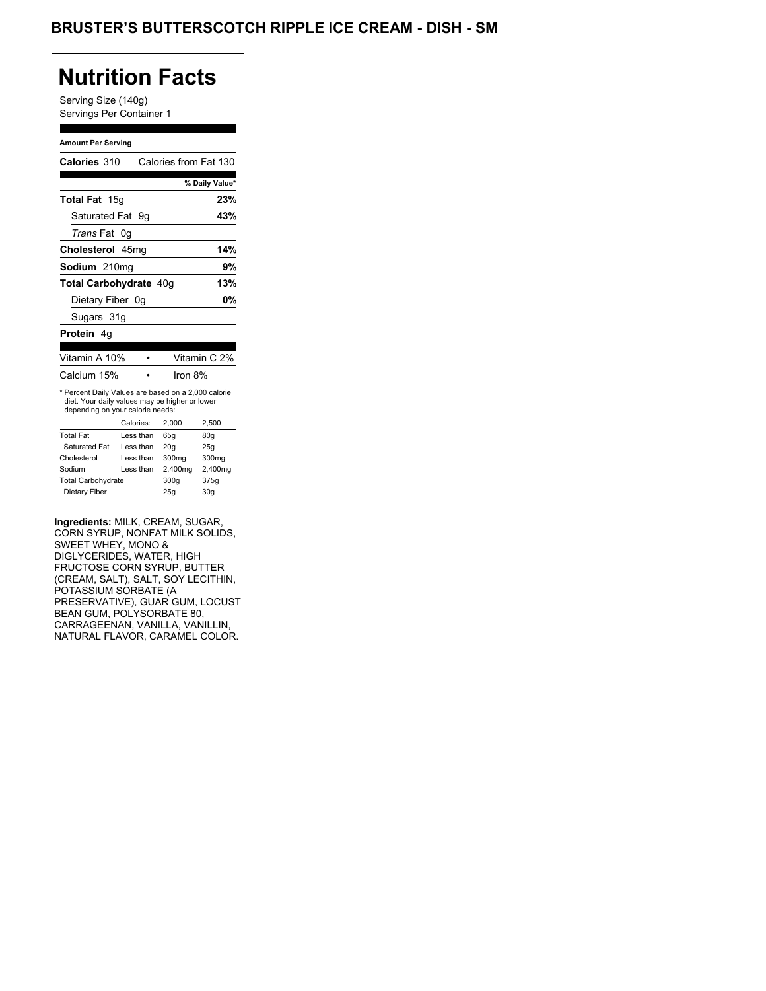## BRUSTER'S BUTTERSCOTCH RIPPLE ICE CREAM - DISH - SM

## **Nutrition Facts**

Serving Size (140g) Servings Per Container 1

#### **Amount Per Serving**

| Calories 310                                                                                                                              |    |           | Calories from Fat 130 |                 |
|-------------------------------------------------------------------------------------------------------------------------------------------|----|-----------|-----------------------|-----------------|
|                                                                                                                                           |    |           |                       | % Daily Value*  |
| Total Fat 15g                                                                                                                             |    |           |                       | 23%             |
| Saturated Fat                                                                                                                             |    | 9g        |                       | 43%             |
| <i>Trans</i> Fat                                                                                                                          | 0g |           |                       |                 |
| Cholesterol 45mg                                                                                                                          |    |           |                       | 14%             |
| Sodium 210mg                                                                                                                              |    |           |                       | 9%              |
| Total Carbohydrate 40q                                                                                                                    |    |           | 13%                   |                 |
| Dietary Fiber 0g                                                                                                                          |    |           |                       | 0%              |
| Sugars 31g                                                                                                                                |    |           |                       |                 |
| Protein 4g                                                                                                                                |    |           |                       |                 |
|                                                                                                                                           |    |           |                       |                 |
| Vitamin A 10%                                                                                                                             |    |           |                       | Vitamin C 2%    |
| Calcium 15%                                                                                                                               |    |           | Iron $8%$             |                 |
| * Percent Daily Values are based on a 2,000 calorie<br>diet. Your daily values may be higher or lower<br>depending on your calorie needs: |    |           |                       |                 |
|                                                                                                                                           |    | Calories: | 2.000                 | 2,500           |
| <b>Total Fat</b>                                                                                                                          |    | Less than | 65q                   | 80q             |
| Saturated Fat                                                                                                                             |    | Less than | 20q                   | 25q             |
| Cholesterol                                                                                                                               |    | Less than | 300mg                 | 300mg           |
| Sodium                                                                                                                                    |    | Less than | 2,400mg               | 2,400mg         |
| <b>Total Carbohydrate</b>                                                                                                                 |    | 300q      | 375g                  |                 |
| Dietary Fiber                                                                                                                             |    |           | 25q                   | 30 <sub>g</sub> |

**Ingredients:** MILK, CREAM, SUGAR, CORN SYRUP, NONFAT MILK SOLIDS, SWEET WHEY, MONO & DIGLYCERIDES, WATER, HIGH FRUCTOSE CORN SYRUP, BUTTER (CREAM, SALT), SALT, SOY LECITHIN, POTASSIUM SORBATE (A PRESERVATIVE), GUAR GUM, LOCUST BEAN GUM, POLYSORBATE 80, CARRAGEENAN, VANILLA, VANILLIN, NATURAL FLAVOR, CARAMEL COLOR.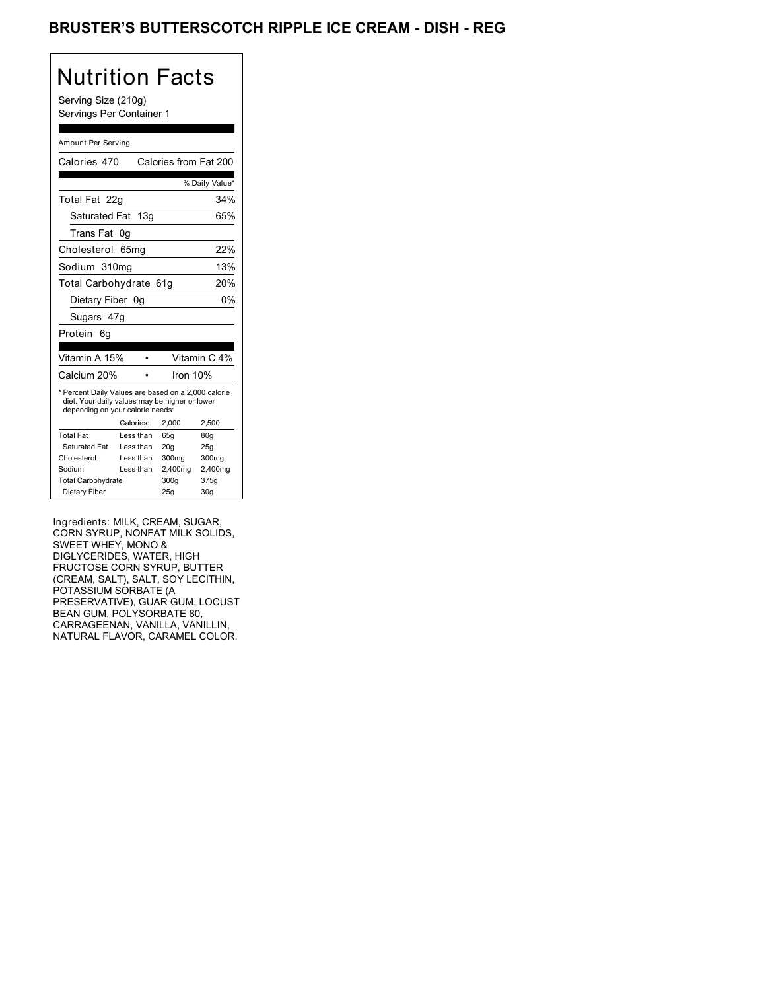## BRUSTER'S BUTTERSCOTCH RIPPLE ICE CREAM - DISH - REG

### Nutrition Facts Serving Size (210g) Servings Per Container 1 Amount Per Serving Calories 470 Calories from Fat 200 % Daily Value\* Total Fat 22g 34% Saturated Fat 13g 65% Trans Fat 0g Cholesterol 65mg 22% Sodium 310mg 13% Total Carbohydrate 61g 20% Dietary Fiber 0g 0% Sugars 47g Protein 6g Vitamin A 15% • Vitamin C 4%

Calcium 20% • Iron 10% \* Percent Daily Values are based on a 2,000 calorie diet. Your daily values may be higher or lower depending on your calorie needs: Calories: 2,000 2,500 Total Fat Less than 65g 80g<br>Saturated Fat Less than 20g 25g Saturated Fat Less than 20g Cholesterol Less than 300mg 300mg<br>Sodium Less than 2,400mg 2,400mg Less than  $2,400$ mg  $2,400$ <br>te  $300g$   $375g$ 

Dietary Fiber 25g 30g

Total Carbohydrate

Ingredients: MILK, CREAM, SUGAR, CORN SYRUP, NONFAT MILK SOLIDS, SWEET WHEY, MONO & DIGLYCERIDES, WATER, HIGH FRUCTOSE CORN SYRUP, BUTTER (CREAM, SALT), SALT, SOY LECITHIN, POTASSIUM SORBATE (A PRESERVATIVE), GUAR GUM, LOCUST BEAN GUM, POLYSORBATE 80, CARRAGEENAN, VANILLA, VANILLIN, NATURAL FLAVOR, CARAMEL COLOR.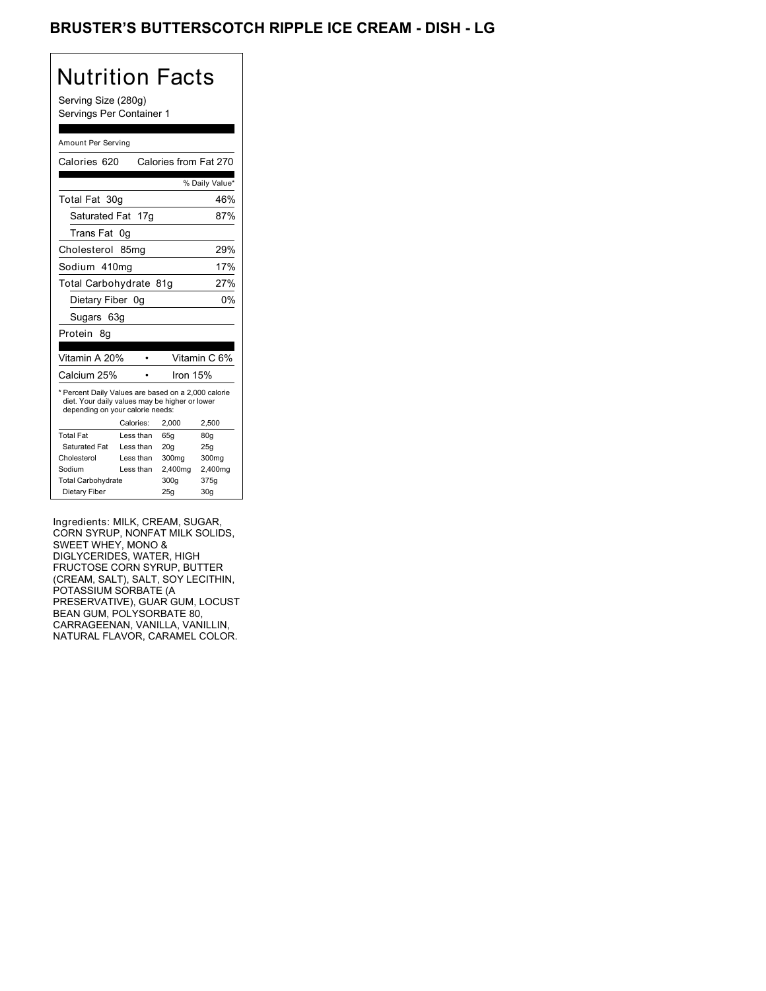## BRUSTER'S BUTTERSCOTCH RIPPLE ICE CREAM - DISH - LG

# Nutrition Facts

Serving Size (280g) Servings Per Container 1

#### Amount Per Serving

| Calories 620                                                                                                                              |           | Calories from Fat 270 |                |
|-------------------------------------------------------------------------------------------------------------------------------------------|-----------|-----------------------|----------------|
|                                                                                                                                           |           |                       | % Daily Value* |
| Total Fat 30q                                                                                                                             |           |                       | 46%            |
| Saturated Fat 17g                                                                                                                         |           |                       | 87%            |
| Trans Fat                                                                                                                                 | 0g        |                       |                |
| Cholesterol 85mg                                                                                                                          |           |                       | 29%            |
| Sodium 410mg                                                                                                                              |           |                       | 17%            |
| Total Carbohydrate 81g                                                                                                                    |           |                       | 27%            |
| Dietary Fiber 0g                                                                                                                          |           |                       | 0%             |
| Sugars 63g                                                                                                                                |           |                       |                |
| Protein<br>8q                                                                                                                             |           |                       |                |
|                                                                                                                                           |           |                       |                |
| Vitamin A 20%                                                                                                                             |           |                       | Vitamin C 6%   |
| Calcium 25%                                                                                                                               |           | Iron 15%              |                |
| * Percent Daily Values are based on a 2,000 calorie<br>diet. Your daily values may be higher or lower<br>depending on your calorie needs: |           |                       |                |
|                                                                                                                                           | Calories: | 2,000                 | 2,500          |
| <b>Total Fat</b>                                                                                                                          | Less than | 65q                   | 80q            |
| <b>Saturated Fat</b>                                                                                                                      | Less than | 20q                   | 25g            |
| Cholesterol                                                                                                                               | Less than | 300mg                 | 300mg          |
| Sodium                                                                                                                                    | Less than | 2,400mg               | 2,400mg        |
| <b>Total Carbohydrate</b>                                                                                                                 |           | 300q                  | 375g           |
| Dietary Fiber                                                                                                                             |           | 25q                   | 30q            |
|                                                                                                                                           |           |                       |                |

Ingredients: MILK, CREAM, SUGAR, CORN SYRUP, NONFAT MILK SOLIDS, SWEET WHEY, MONO & DIGLYCERIDES, WATER, HIGH FRUCTOSE CORN SYRUP, BUTTER (CREAM, SALT), SALT, SOY LECITHIN, POTASSIUM SORBATE (A PRESERVATIVE), GUAR GUM, LOCUST BEAN GUM, POLYSORBATE 80, CARRAGEENAN, VANILLA, VANILLIN, NATURAL FLAVOR, CARAMEL COLOR.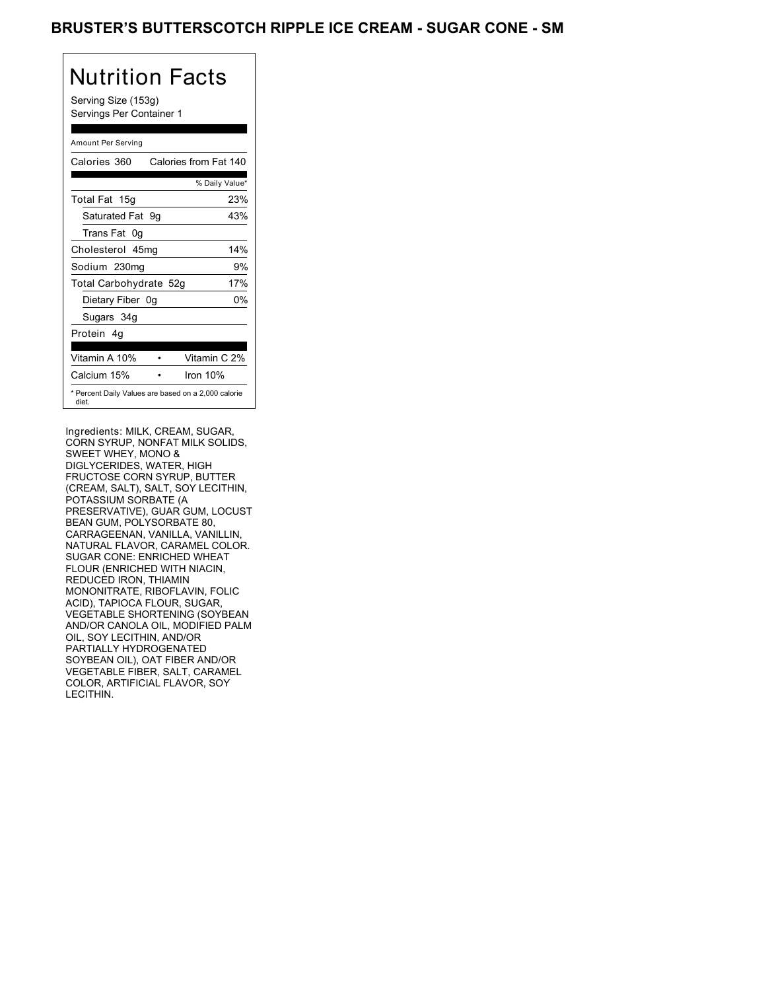## BRUSTER'S BUTTERSCOTCH RIPPLE ICE CREAM - SUGAR CONE - SM

# Nutrition Facts

Serving Size (153g) Servings Per Container 1

#### Amount Per Serving

| Calories 360           | Calories from Fat 140                               |
|------------------------|-----------------------------------------------------|
|                        | % Daily Value*                                      |
| Total Fat 15g          | 23%                                                 |
| Saturated Fat 9g       | 43%                                                 |
| Trans Fat 0g           |                                                     |
| Cholesterol 45mg       | 14%                                                 |
| Sodium 230mg           | 9%                                                  |
| Total Carbohydrate 52g | 17%                                                 |
| Dietary Fiber 0g       | 0%                                                  |
| Sugars 34g             |                                                     |
| Protein 4q             |                                                     |
|                        |                                                     |
| Vitamin A 10%          | Vitamin C 2%                                        |
| Calcium 15%            | Iron $10%$                                          |
| diet.                  | * Percent Daily Values are based on a 2,000 calorie |

Ingredients: MILK, CREAM, SUGAR, CORN SYRUP, NONFAT MILK SOLIDS, SWEET WHEY, MONO & DIGLYCERIDES, WATER, HIGH FRUCTOSE CORN SYRUP, BUTTER (CREAM, SALT), SALT, SOY LECITHIN, POTASSIUM SÓRBATE (A PRESERVATIVE), GUAR GUM, LOCUST BEAN GUM, POLYSORBATE 80, CARRAGEENAN, VANILLA, VANILLIN, NATURAL FLAVOR, CARAMEL COLOR. SUGAR CONE: ENRICHED WHEAT FLOUR (ENRICHED WITH NIACIN, REDUCED IRON, THIAMIN MONONITRATE, RIBOFLAVIN, FOLIC ACID), TAPIOCA FLOUR, SUGAR, VEGETABLE SHORTENING (SOYBEAN AND/OR CANOLA OIL, MODIFIED PALM OIL, SOY LECITHIN, AND/OR PARTIALLY HYDROGENATED SOYBEAN OIL), OAT FIBER AND/OR VEGETABLE FIBER, SALT, CARAMEL COLOR, ARTIFICIAL FLAVOR, SOY LECITHIN.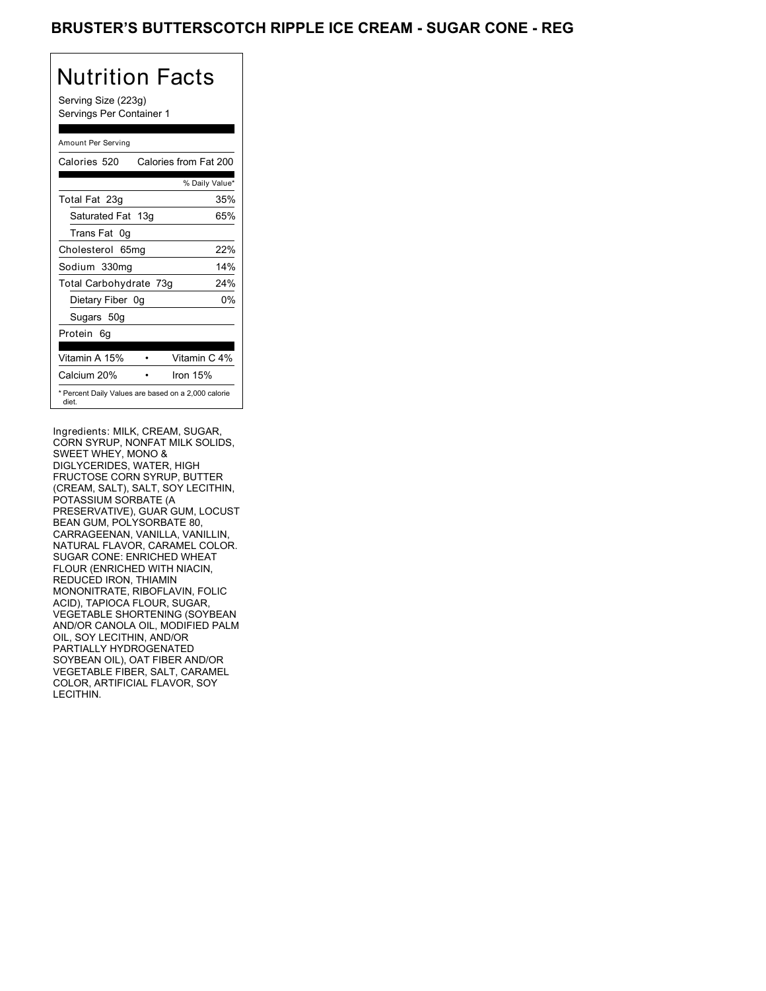## BRUSTER'S BUTTERSCOTCH RIPPLE ICE CREAM - SUGAR CONE - REG

## Nutrition Facts

Serving Size (223g) Servings Per Container 1

#### Amount Per Serving Calories 520 Calories from Fat 200 % Daily Value\* Total Fat 23g 35% Saturated Fat 13g 65% Trans Fat 0g Cholesterol 65mg 22% Sodium 330mg 14% Total Carbohydrate 73g 24% Dietary Fiber 0g 0% Sugars 50g Protein 6g Vitamin A 15% • Vitamin C 4% Calcium 20% • Iron 15% \* Percent Daily Values are based on a 2,000 calorie diet.

Ingredients: MILK, CREAM, SUGAR, CORN SYRUP, NONFAT MILK SOLIDS, SWEET WHEY, MONO & DIGLYCERIDES, WATER, HIGH FRUCTOSE CORN SYRUP, BUTTER (CREAM, SALT), SALT, SOY LECITHIN, POTASSIUM SORBATE (A PRESERVATIVE), GUAR GUM, LOCUST BEAN GUM, POLYSORBATE 80, CARRAGEENAN, VANILLA, VANILLIN, NATURAL FLAVOR, CARAMEL COLOR. SUGAR CONE: ENRICHED WHEAT FLOUR (ENRICHED WITH NIACIN, REDUCED IRON, THIAMIN MONONITRATE, RIBOFLAVIN, FOLIC ACID), TAPIOCA FLOUR, SUGAR, VEGETABLE SHORTENING (SOYBEAN AND/OR CANOLA OIL, MODIFIED PALM OIL, SOY LECITHIN, AND/OR PARTIALLY HYDROGENATED SOYBEAN OIL), OAT FIBER AND/OR VEGETABLE FIBER, SALT, CARAMEL COLOR, ARTIFICIAL FLAVOR, SOY LECITHIN.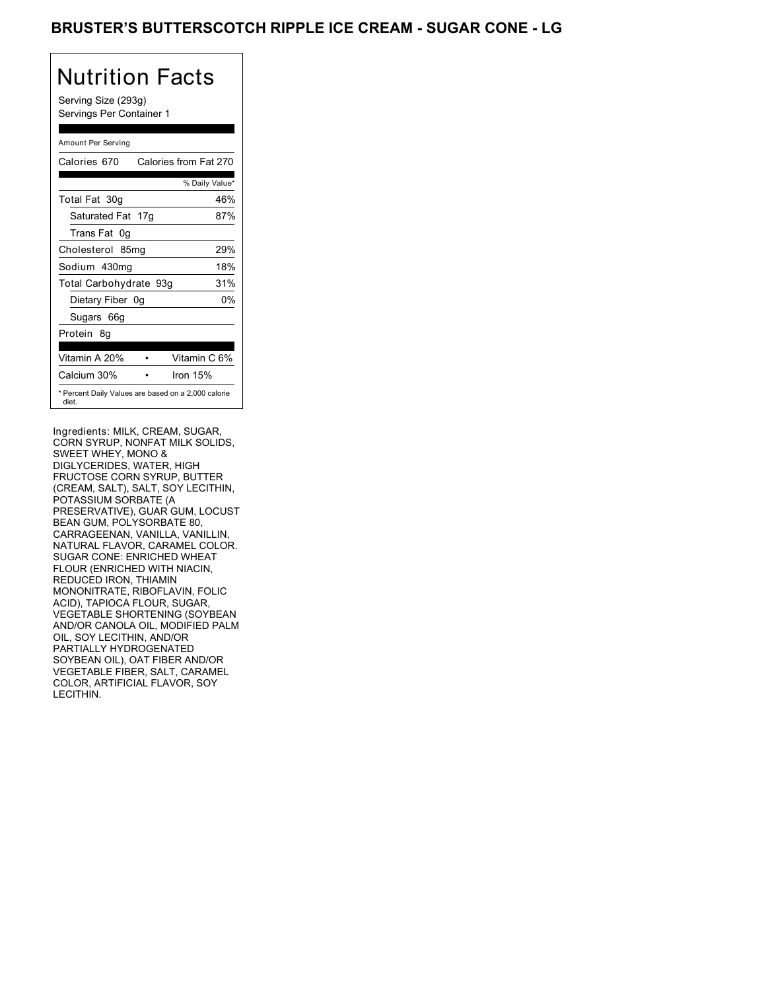## BRUSTER'S BUTTERSCOTCH RIPPLE ICE CREAM - SUGAR CONE - LG

# Nutrition Facts

Serving Size (293g) Servings Per Container 1

| Amount Per Serving                                           |                       |
|--------------------------------------------------------------|-----------------------|
| Calories 670                                                 | Calories from Fat 270 |
|                                                              | % Daily Value*        |
| Total Fat 30g                                                | 46%                   |
| Saturated Fat 17g                                            | 87%                   |
| Trans Fat<br>0g                                              |                       |
| Cholesterol 85mg                                             | 29%                   |
| Sodium 430mg                                                 | 18%                   |
| Total Carbohydrate 93g                                       | 31%                   |
| Dietary Fiber 0g                                             | 0%                    |
| Sugars 66g                                                   |                       |
| Protein<br>8g                                                |                       |
|                                                              |                       |
| Vitamin A 20%                                                | Vitamin C 6%          |
| Calcium 30%                                                  | Iron 15%              |
| * Percent Daily Values are based on a 2,000 calorie<br>diet. |                       |

Ingredients: MILK, CREAM, SUGAR, CORN SYRUP, NONFAT MILK SOLIDS, SWEET WHEY, MONO & DIGLYCERIDES, WATER, HIGH FRUCTOSE CORN SYRUP, BUTTER (CREAM, SALT), SALT, SOY LECITHIN, POTASSIUM SORBATE (A PRESERVATIVE), GUAR GUM, LOCUST BEAN GUM, POLYSORBATE 80, CARRAGEENAN, VANILLA, VANILLIN, NATURAL FLAVOR, CARAMEL COLOR. SUGAR CONE: ENRICHED WHEAT FLOUR (ENRICHED WITH NIACIN, REDUCED IRON, THIAMIN MONONITRATE, RIBOFLAVIN, FOLIC ACID), TAPIOCA FLOUR, SUGAR, VEGETABLE SHORTENING (SOYBEAN AND/OR CANOLA OIL, MODIFIED PALM OIL, SOY LECITHIN, AND/OR PARTIALLY HYDROGENATED SOYBEAN OIL), OAT FIBER AND/OR VEGETABLE FIBER, SALT, CARAMEL COLOR, ARTIFICIAL FLAVOR, SOY LECITHIN.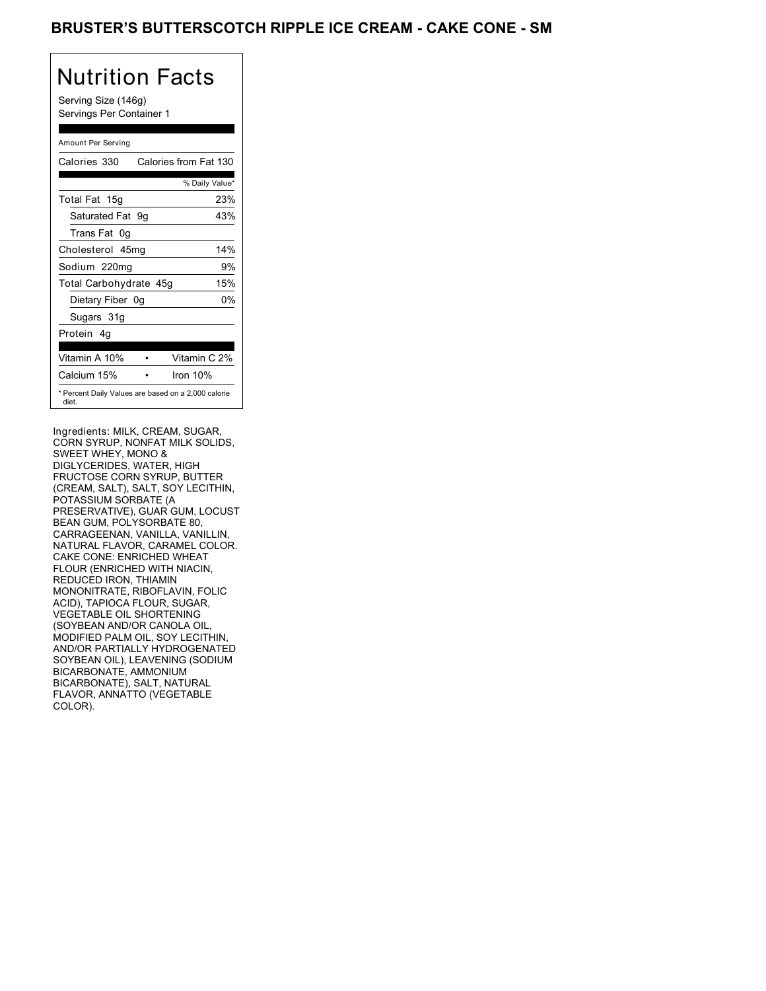## BRUSTER'S BUTTERSCOTCH RIPPLE ICE CREAM - CAKE CONE - SM

# Nutrition Facts

Serving Size (146g) Servings Per Container 1

| Amount Per Serving                                           |    |                       |
|--------------------------------------------------------------|----|-----------------------|
| Calories 330                                                 |    | Calories from Fat 130 |
|                                                              |    | % Daily Value*        |
| Total Fat 15g                                                |    | 23%                   |
| Saturated Fat 9g                                             |    | 43%                   |
| Trans Fat<br>0g                                              |    |                       |
| Cholesterol 45mg                                             |    | 14%                   |
| Sodium 220mg                                                 |    | 9%                    |
| Total Carbohydrate 45g                                       |    | 15%                   |
| Dietary Fiber                                                | 0q | 0%                    |
| Sugars 31g                                                   |    |                       |
| Protein<br>4g                                                |    |                       |
|                                                              |    |                       |
| Vitamin A 10%                                                |    | Vitamin C 2%          |
| Calcium 15%                                                  |    | Iron 10%              |
| * Percent Daily Values are based on a 2,000 calorie<br>diet. |    |                       |

Ingredients: MILK, CREAM, SUGAR, CORN SYRUP, NONFAT MILK SOLIDS, SWEET WHEY, MONO & DIGLYCERIDES, WATER, HIGH FRUCTOSE CORN SYRUP, BUTTER (CREAM, SALT), SALT, SOY LECITHIN, POTASSIUM SORBATE (A PRESERVATIVE), GUAR GUM, LOCUST BEAN GUM, POLYSORBATE 80, CARRAGEENAN, VANILLA, VANILLIN, NATURAL FLAVOR, CARAMEL COLOR. CAKE CONE: ENRICHED WHEAT FLOUR (ENRICHED WITH NIACIN, REDUCED IRON, THIAMIN MONONITRATE, RIBOFLAVIN, FOLIC ACID), TAPIOCA FLOUR, SUGAR, VEGETABLE OIL SHORTENING (SOYBEAN AND/OR CANOLA OIL, MODIFIED PALM OIL, SOY LECITHIN, AND/OR PARTIALLY HYDROGENATED SOYBEAN OIL), LEAVENING (SODIUM BICARBONATE, AMMONIUM BICARBONATE), SALT, NATURAL FLAVOR, ANNATTO (VEGETABLE COLOR).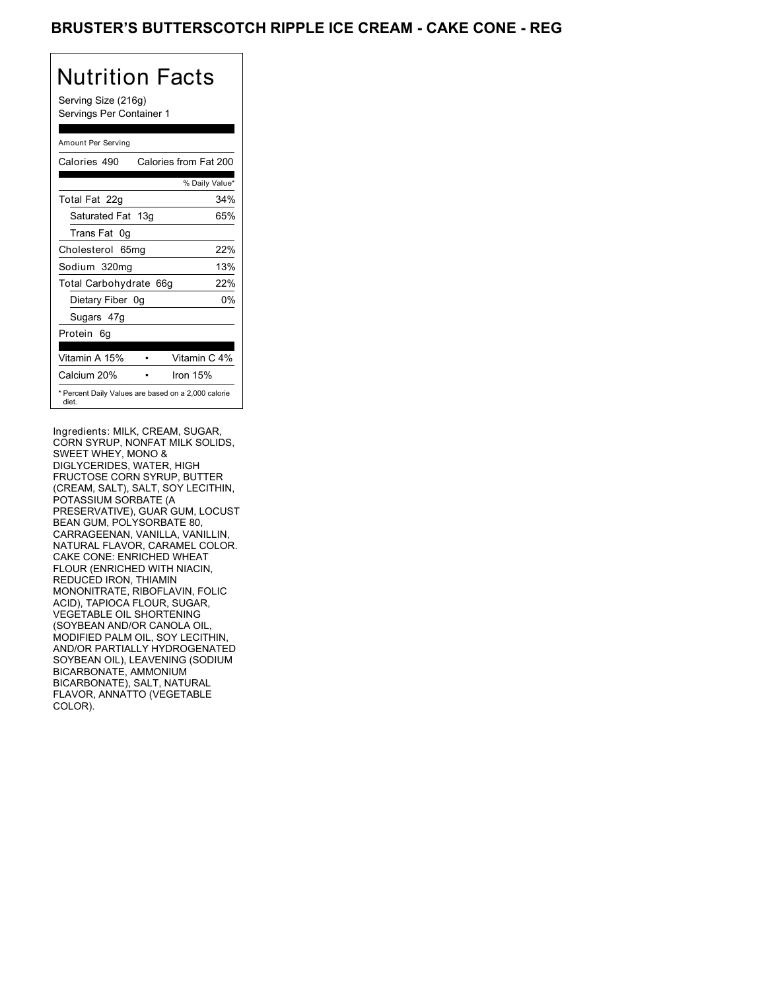## BRUSTER'S BUTTERSCOTCH RIPPLE ICE CREAM - CAKE CONE - REG

## Nutrition Facts

Serving Size (216g) Servings Per Container 1

#### Amount Per Serving Calories 490 Calories from Fat 200 % Daily Value\* Total Fat 22g 34% Saturated Fat 13g 65% Trans Fat 0g Cholesterol 65mg 22% Sodium 320mg 13% Total Carbohydrate 66g 22% Dietary Fiber 0g 0% Sugars 47g Protein 6g Vitamin A 15% • Vitamin C 4% Calcium 20% • Iron 15% \* Percent Daily Values are based on a 2,000 calorie diet.

Ingredients: MILK, CREAM, SUGAR, CORN SYRUP, NONFAT MILK SOLIDS, SWEET WHEY, MONO & DIGLYCERIDES, WATER, HIGH FRUCTOSE CORN SYRUP, BUTTER (CREAM, SALT), SALT, SOY LECITHIN, POTASSIUM SORBATE (A PRESERVATIVE), GUAR GUM, LOCUST BEAN GUM, POLYSORBATE 80, CARRAGEENAN, VANILLA, VANILLIN, NATURAL FLAVOR, CARAMEL COLOR. CAKE CONE: ENRICHED WHEAT FLOUR (ENRICHED WITH NIACIN, REDUCED IRON, THIAMIN MONONITRATE, RIBOFLAVIN, FOLIC ACID), TAPIOCA FLOUR, SUGAR, VEGETABLE OIL SHORTENING (SOYBEAN AND/OR CANOLA OIL, MODIFIED PALM OIL, SOY LECITHIN, AND/OR PARTIALLY HYDROGENATED SOYBEAN OIL), LEAVENING (SODIUM BICARBONATE, AMMONIUM BICARBONATE), SALT, NATURAL FLAVOR, ANNATTO (VEGETABLE COLOR).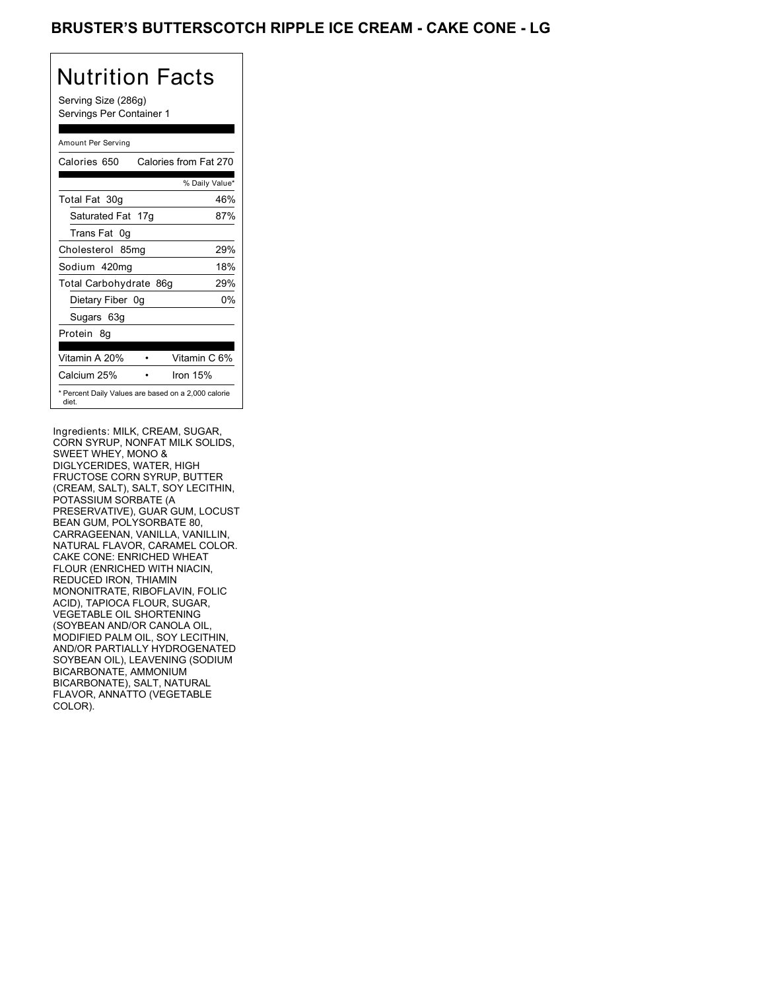## BRUSTER'S BUTTERSCOTCH RIPPLE ICE CREAM - CAKE CONE - LG

# Nutrition Facts

Serving Size (286g) Servings Per Container 1

| Amount Per Serving                                           |                       |
|--------------------------------------------------------------|-----------------------|
| Calories 650                                                 | Calories from Fat 270 |
|                                                              | % Daily Value*        |
| Total Fat 30g                                                | 46%                   |
| Saturated Fat 17g                                            | 87%                   |
| Trans Fat 0g                                                 |                       |
| Cholesterol 85mg                                             | 29%                   |
| Sodium 420mg                                                 | 18%                   |
| Total Carbohydrate 86g                                       | 29%                   |
| Dietary Fiber 0g                                             | 0%                    |
| Sugars 63g                                                   |                       |
| Protein 8q                                                   |                       |
|                                                              |                       |
| Vitamin A 20%                                                | Vitamin C 6%          |
| Calcium 25%                                                  | Iron 15%              |
| * Percent Daily Values are based on a 2,000 calorie<br>diet. |                       |

Ingredients: MILK, CREAM, SUGAR, CORN SYRUP, NONFAT MILK SOLIDS, SWEET WHEY, MONO & DIGLYCERIDES, WATER, HIGH FRUCTOSE CORN SYRUP, BUTTER (CREAM, SALT), SALT, SOY LECITHIN, POTASSIUM SORBATE (A PRESERVATIVE), GUAR GUM, LOCUST BEAN GUM, POLYSORBATE 80, CARRAGEENAN, VANILLA, VANILLIN, NATURAL FLAVOR, CARAMEL COLOR. CAKE CONE: ENRICHED WHEAT FLOUR (ENRICHED WITH NIACIN, REDUCED IRON, THIAMIN MONONITRATE, RIBOFLAVIN, FOLIC ACID), TAPIOCA FLOUR, SUGAR, VEGETABLE OIL SHORTENING (SOYBEAN AND/OR CANOLA OIL, MODIFIED PALM OIL, SOY LECITHIN, AND/OR PARTIALLY HYDROGENATED SOYBEAN OIL), LEAVENING (SODIUM BICARBONATE, AMMONIUM BICARBONATE), SALT, NATURAL FLAVOR, ANNATTO (VEGETABLE COLOR).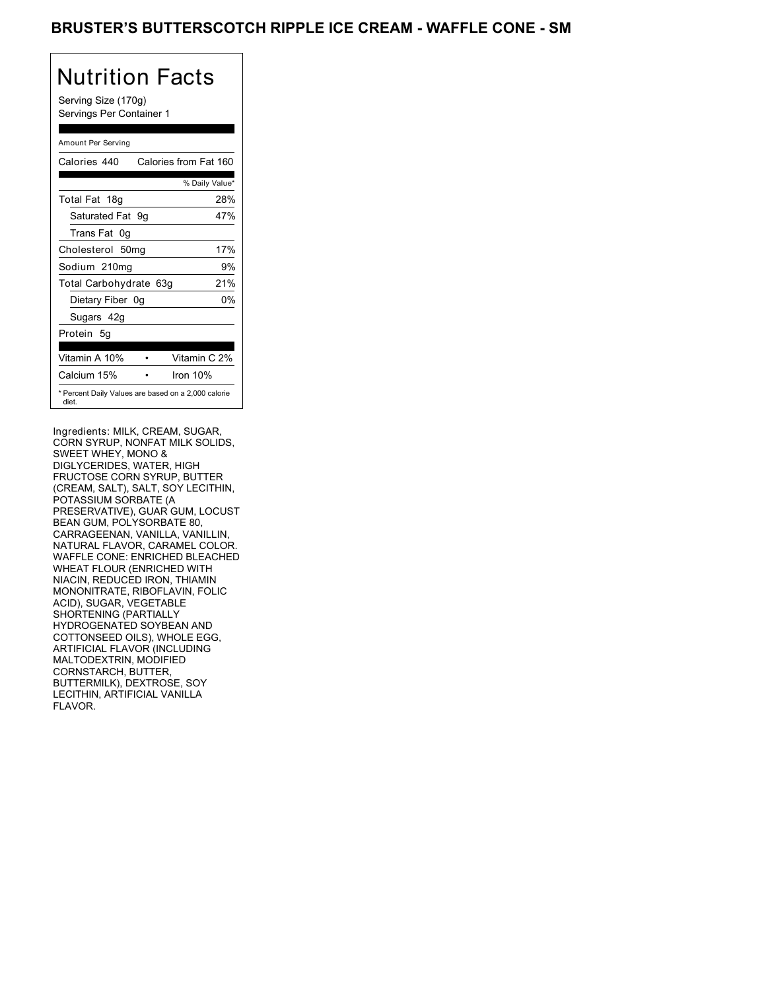## BRUSTER'S BUTTERSCOTCH RIPPLE ICE CREAM - WAFFLE CONE - SM

## Nutrition Facts

Serving Size (170g) Servings Per Container 1

#### Amount Per Serving

| Calories 440                                                 | Calories from Fat 160 |
|--------------------------------------------------------------|-----------------------|
|                                                              | % Daily Value*        |
| Total Fat 18g                                                | 28%                   |
| Saturated Fat 9g                                             | 47%                   |
| Trans Fat 0q                                                 |                       |
| Cholesterol 50mg                                             | 17%                   |
| Sodium 210mg                                                 | 9%                    |
| Total Carbohydrate 63g                                       | 21%                   |
| Dietary Fiber 0g                                             | 0%                    |
| Sugars 42g                                                   |                       |
| Protein 5g                                                   |                       |
| Vitamin A 10%                                                | Vitamin C 2%          |
| Calcium 15%                                                  | Iron 10%              |
| * Percent Daily Values are based on a 2,000 calorie<br>diet. |                       |

Ingredients: MILK, CREAM, SUGAR, CORN SYRUP, NONFAT MILK SOLIDS, SWEET WHEY, MONO & DIGLYCERIDES, WATER, HIGH FRUCTOSE CORN SYRUP, BUTTER (CREAM, SALT), SALT, SOY LECITHIN, POTASSIUM SORBATE (A PRESERVATIVE), GUAR GUM, LOCUST BEAN GUM, POLYSORBATE 80, CARRAGEENAN, VANILLA, VANILLIN, NATURAL FLAVOR, CARAMEL COLOR. WAFFLE CONE: ENRICHED BLEACHED WHEAT FLOUR (ENRICHED WITH NIACIN, REDUCED IRON, THIAMIN MONONITRATE, RIBOFLAVIN, FOLIC ACID), SUGAR, VEGETABLE SHORTENING (PARTIALLY HYDROGENATED SOYBEAN AND COTTONSEED OILS), WHOLE EGG, ARTIFICIAL FLAVOR (INCLUDING MALTODEXTRIN, MODIFIED CORNSTARCH, BUTTER, BUTTERMILK), DEXTROSE, SOY LECITHIN, ARTIFICIAL VANILLA FLAVOR.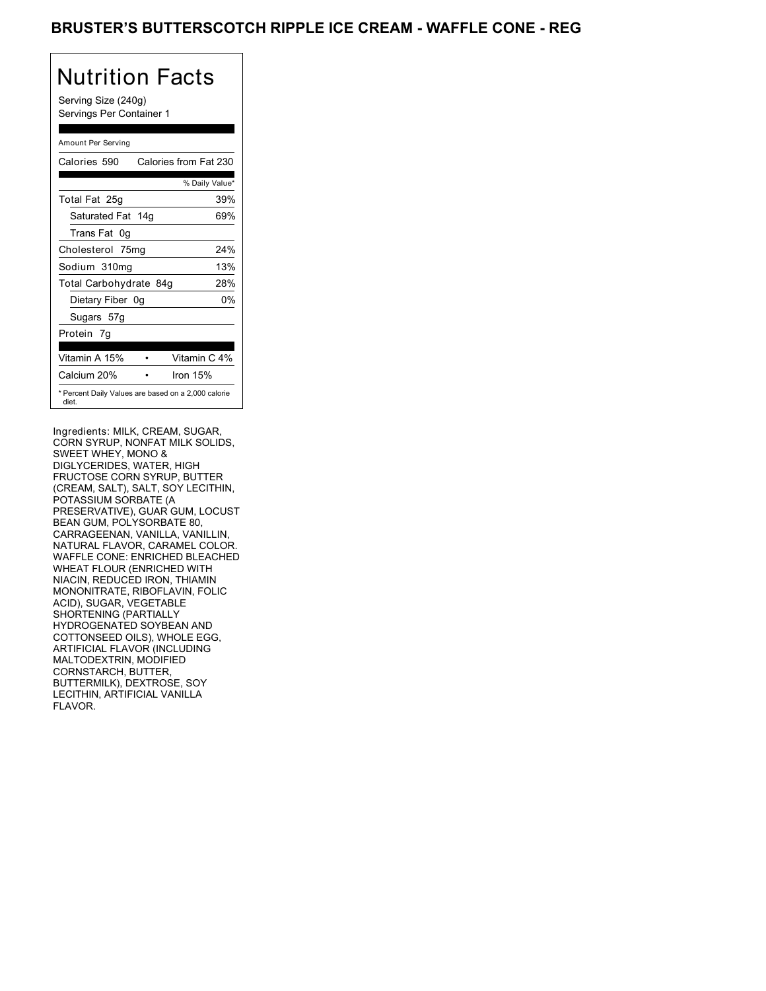## BRUSTER'S BUTTERSCOTCH RIPPLE ICE CREAM - WAFFLE CONE - REG

## Nutrition Facts

Serving Size (240g) Servings Per Container 1

#### Amount Per Serving Calories 590 Calories from Fat 230 % Daily Value\* Total Fat 25g 39% Saturated Fat 14g 69% Trans Fat 0g Cholesterol 75mg 24% Sodium 310mg 13% Total Carbohydrate 84g 28% Dietary Fiber 0g 0% Sugars 57g Protein 7g Vitamin A 15% • Vitamin C 4% Calcium 20% • Iron 15% \* Percent Daily Values are based on a 2,000 calorie diet.

Ingredients: MILK, CREAM, SUGAR, CORN SYRUP, NONFAT MILK SOLIDS, SWEET WHEY, MONO & DIGLYCERIDES, WATER, HIGH FRUCTOSE CORN SYRUP, BUTTER (CREAM, SALT), SALT, SOY LECITHIN, POTASSIUM SORBATE (A PRESERVATIVE), GUAR GUM, LOCUST BEAN GUM, POLYSORBATE 80, CARRAGEENAN, VANILLA, VANILLIN, NATURAL FLAVOR, CARAMEL COLOR. WAFFLE CONE: ENRICHED BLEACHED WHEAT FLOUR (ENRICHED WITH NIACIN, REDUCED IRON, THIAMIN MONONITRATE, RIBOFLAVIN, FOLIC ACID), SUGAR, VEGETABLE SHORTENING (PARTIALLY HYDROGENATED SOYBEAN AND COTTONSEED OILS), WHOLE EGG, ARTIFICIAL FLAVOR (INCLUDING MALTODEXTRIN, MODIFIED CORNSTARCH, BUTTER, BUTTERMILK), DEXTROSE, SOY LECITHIN, ARTIFICIAL VANILLA FLAVOR.